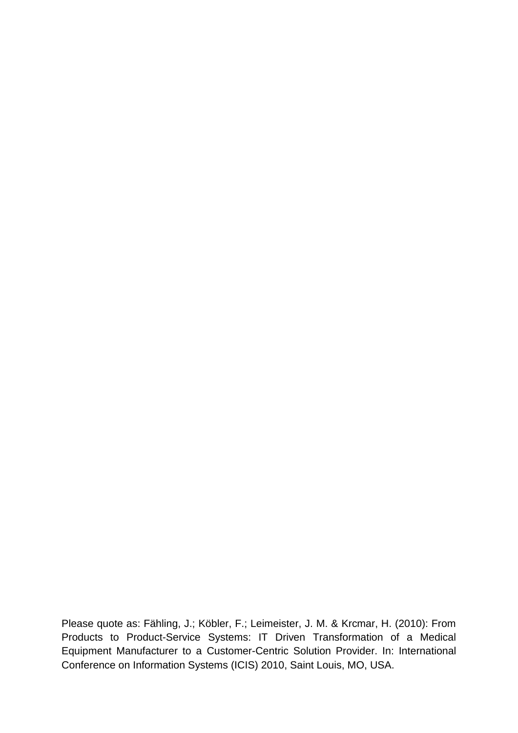Please quote as: Fähling, J.; Köbler, F.; Leimeister, J. M. & Krcmar, H. (2010): From Products to Product-Service Systems: IT Driven Transformation of a Medical Equipment Manufacturer to a Customer-Centric Solution Provider. In: International Conference on Information Systems (ICIS) 2010, Saint Louis, MO, USA.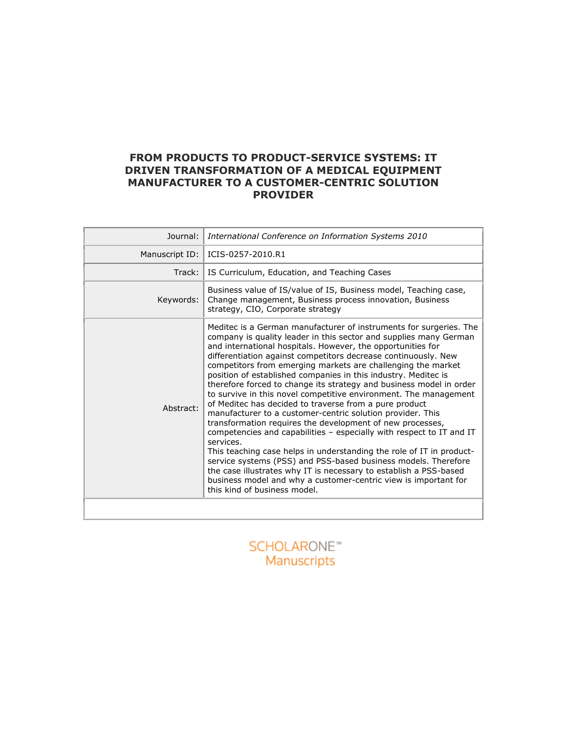#### FROM PRODUCTS TO PRODUCT-SERVICE SYSTEMS: IT DRIVEN TRANSFORMATION OF A MEDICAL EQUIPMENT MANUFACTURER TO A CUSTOMER-CENTRIC SOLUTION PROVIDER

| Journal:       | International Conference on Information Systems 2010                                                                                                                                                                                                                                                                                                                                                                                                                                                                                                                                                                                                                                                                                                                                                                                                                                                                                                                                                                                                                                                                                              |
|----------------|---------------------------------------------------------------------------------------------------------------------------------------------------------------------------------------------------------------------------------------------------------------------------------------------------------------------------------------------------------------------------------------------------------------------------------------------------------------------------------------------------------------------------------------------------------------------------------------------------------------------------------------------------------------------------------------------------------------------------------------------------------------------------------------------------------------------------------------------------------------------------------------------------------------------------------------------------------------------------------------------------------------------------------------------------------------------------------------------------------------------------------------------------|
| Manuscript ID: | ICIS-0257-2010.R1                                                                                                                                                                                                                                                                                                                                                                                                                                                                                                                                                                                                                                                                                                                                                                                                                                                                                                                                                                                                                                                                                                                                 |
| Track:         | IS Curriculum, Education, and Teaching Cases                                                                                                                                                                                                                                                                                                                                                                                                                                                                                                                                                                                                                                                                                                                                                                                                                                                                                                                                                                                                                                                                                                      |
| Keywords:      | Business value of IS/value of IS, Business model, Teaching case,<br>Change management, Business process innovation, Business<br>strategy, CIO, Corporate strategy                                                                                                                                                                                                                                                                                                                                                                                                                                                                                                                                                                                                                                                                                                                                                                                                                                                                                                                                                                                 |
| Abstract:      | Meditec is a German manufacturer of instruments for surgeries. The<br>company is quality leader in this sector and supplies many German<br>and international hospitals. However, the opportunities for<br>differentiation against competitors decrease continuously. New<br>competitors from emerging markets are challenging the market<br>position of established companies in this industry. Meditec is<br>therefore forced to change its strategy and business model in order<br>to survive in this novel competitive environment. The management<br>of Meditec has decided to traverse from a pure product<br>manufacturer to a customer-centric solution provider. This<br>transformation requires the development of new processes,<br>competencies and capabilities - especially with respect to IT and IT<br>services.<br>This teaching case helps in understanding the role of IT in product-<br>service systems (PSS) and PSS-based business models. Therefore<br>the case illustrates why IT is necessary to establish a PSS-based<br>business model and why a customer-centric view is important for<br>this kind of business model. |
|                |                                                                                                                                                                                                                                                                                                                                                                                                                                                                                                                                                                                                                                                                                                                                                                                                                                                                                                                                                                                                                                                                                                                                                   |

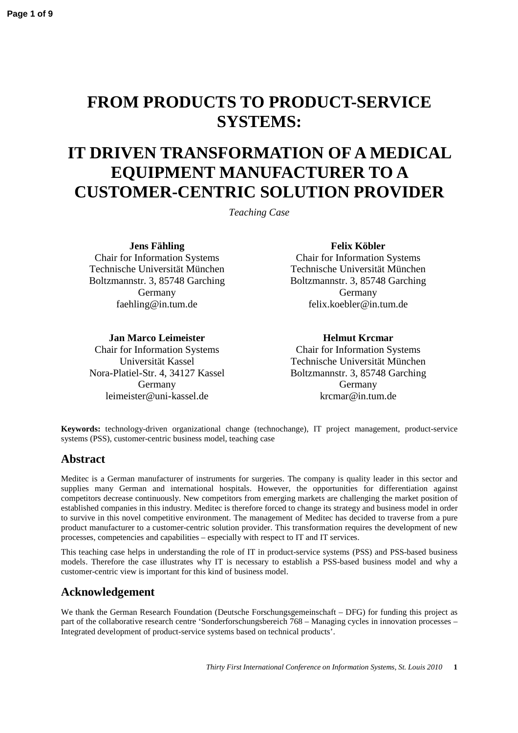# **FROM PRODUCTS TO PRODUCT-SERVICE SYSTEMS:**

# **IT DRIVEN TRANSFORMATION OF A MEDICAL EQUIPMENT MANUFACTURER TO A CUSTOMER-CENTRIC SOLUTION PROVIDER**

*Teaching Case* 

**Jens Fähling** 

Chair for Information Systems Technische Universität München Boltzmannstr. 3, 85748 Garching Germany faehling@in.tum.de

#### **Jan Marco Leimeister**

Chair for Information Systems Universität Kassel Nora-Platiel-Str. 4, 34127 Kassel Germany leimeister@uni-kassel.de

#### **Felix Köbler**

Chair for Information Systems Technische Universität München Boltzmannstr. 3, 85748 Garching Germany felix.koebler@in.tum.de

#### **Helmut Krcmar**

Chair for Information Systems Technische Universität München Boltzmannstr. 3, 85748 Garching Germany krcmar@in.tum.de

**Keywords:** technology-driven organizational change (technochange), IT project management, product-service systems (PSS), customer-centric business model, teaching case

#### **Abstract**

Meditec is a German manufacturer of instruments for surgeries. The company is quality leader in this sector and supplies many German and international hospitals. However, the opportunities for differentiation against competitors decrease continuously. New competitors from emerging markets are challenging the market position of established companies in this industry. Meditec is therefore forced to change its strategy and business model in order to survive in this novel competitive environment. The management of Meditec has decided to traverse from a pure product manufacturer to a customer-centric solution provider. This transformation requires the development of new processes, competencies and capabilities – especially with respect to IT and IT services.

This teaching case helps in understanding the role of IT in product-service systems (PSS) and PSS-based business models. Therefore the case illustrates why IT is necessary to establish a PSS-based business model and why a customer-centric view is important for this kind of business model.

#### **Acknowledgement**

We thank the German Research Foundation (Deutsche Forschungsgemeinschaft – DFG) for funding this project as part of the collaborative research centre 'Sonderforschungsbereich 768 – Managing cycles in innovation processes – Integrated development of product-service systems based on technical products'.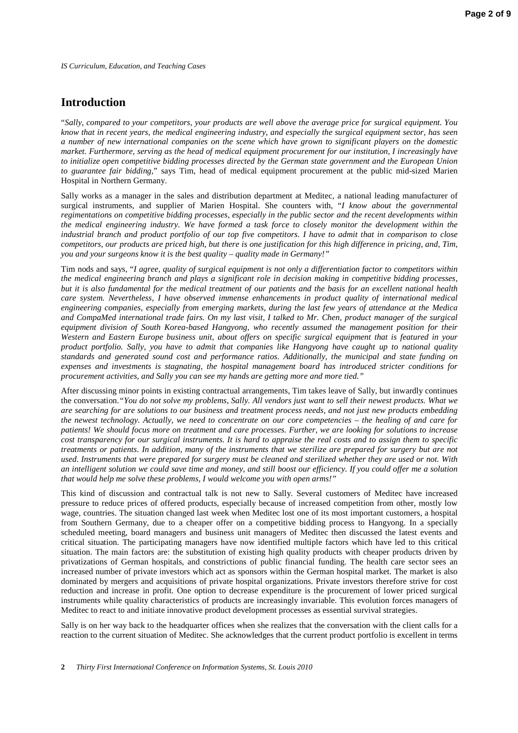*IS Curriculum, Education, and Teaching Cases* 

#### **Introduction**

"*Sally, compared to your competitors, your products are well above the average price for surgical equipment. You know that in recent years, the medical engineering industry, and especially the surgical equipment sector, has seen a number of new international companies on the scene which have grown to significant players on the domestic market. Furthermore, serving as the head of medical equipment procurement for our institution, I increasingly have to initialize open competitive bidding processes directed by the German state government and the European Union to guarantee fair bidding,*" says Tim, head of medical equipment procurement at the public mid-sized Marien Hospital in Northern Germany.

Sally works as a manager in the sales and distribution department at Meditec, a national leading manufacturer of surgical instruments, and supplier of Marien Hospital. She counters with, "*I know about the governmental regimentations on competitive bidding processes, especially in the public sector and the recent developments within the medical engineering industry. We have formed a task force to closely monitor the development within the industrial branch and product portfolio of our top five competitors. I have to admit that in comparison to close competitors, our products are priced high, but there is one justification for this high difference in pricing, and, Tim, you and your surgeons know it is the best quality – quality made in Germany!"* 

Tim nods and says, "*I agree, quality of surgical equipment is not only a differentiation factor to competitors within the medical engineering branch and plays a significant role in decision making in competitive bidding processes, but it is also fundamental for the medical treatment of our patients and the basis for an excellent national health care system. Nevertheless, I have observed immense enhancements in product quality of international medical engineering companies, especially from emerging markets, during the last few years of attendance at the Medica and CompaMed international trade fairs. On my last visit, I talked to Mr. Chen, product manager of the surgical equipment division of South Korea-based Hangyong, who recently assumed the management position for their Western and Eastern Europe business unit, about offers on specific surgical equipment that is featured in your product portfolio. Sally, you have to admit that companies like Hangyong have caught up to national quality standards and generated sound cost and performance ratios. Additionally, the municipal and state funding on expenses and investments is stagnating, the hospital management board has introduced stricter conditions for procurement activities, and Sally you can see my hands are getting more and more tied."*

After discussing minor points in existing contractual arrangements, Tim takes leave of Sally, but inwardly continues the conversation.*"You do not solve my problems, Sally. All vendors just want to sell their newest products. What we are searching for are solutions to our business and treatment process needs, and not just new products embedding the newest technology. Actually, we need to concentrate on our core competencies – the healing of and care for patients! We should focus more on treatment and care processes. Further, we are looking for solutions to increase cost transparency for our surgical instruments. It is hard to appraise the real costs and to assign them to specific treatments or patients. In addition, many of the instruments that we sterilize are prepared for surgery but are not used. Instruments that were prepared for surgery must be cleaned and sterilized whether they are used or not. With an intelligent solution we could save time and money, and still boost our efficiency. If you could offer me a solution that would help me solve these problems, I would welcome you with open arms!"* 

This kind of discussion and contractual talk is not new to Sally. Several customers of Meditec have increased pressure to reduce prices of offered products, especially because of increased competition from other, mostly low wage, countries. The situation changed last week when Meditec lost one of its most important customers, a hospital from Southern Germany, due to a cheaper offer on a competitive bidding process to Hangyong. In a specially scheduled meeting, board managers and business unit managers of Meditec then discussed the latest events and critical situation. The participating managers have now identified multiple factors which have led to this critical situation. The main factors are: the substitution of existing high quality products with cheaper products driven by privatizations of German hospitals, and constrictions of public financial funding. The health care sector sees an increased number of private investors which act as sponsors within the German hospital market. The market is also dominated by mergers and acquisitions of private hospital organizations. Private investors therefore strive for cost reduction and increase in profit. One option to decrease expenditure is the procurement of lower priced surgical instruments while quality characteristics of products are increasingly invariable. This evolution forces managers of Meditec to react to and initiate innovative product development processes as essential survival strategies.

Sally is on her way back to the headquarter offices when she realizes that the conversation with the client calls for a reaction to the current situation of Meditec. She acknowledges that the current product portfolio is excellent in terms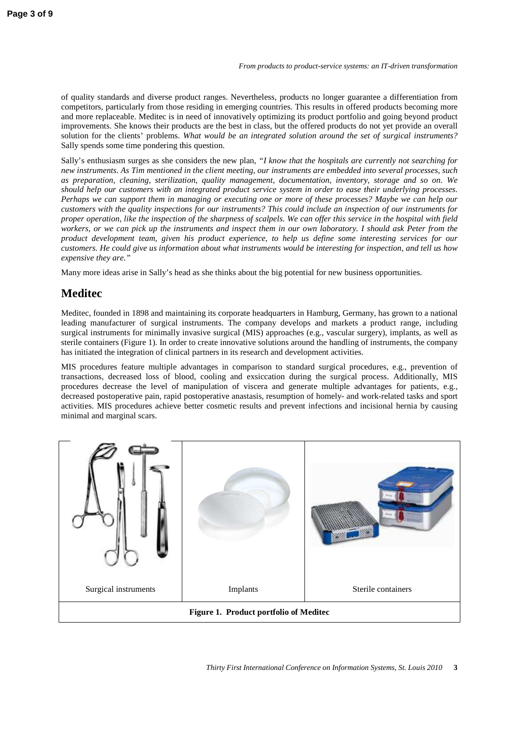of quality standards and diverse product ranges. Nevertheless, products no longer guarantee a differentiation from competitors, particularly from those residing in emerging countries. This results in offered products becoming more and more replaceable. Meditec is in need of innovatively optimizing its product portfolio and going beyond product improvements. She knows their products are the best in class, but the offered products do not yet provide an overall the solution for the clients' problems. What would be an integrated solution around the set of surgical instruments? Sally spends some time pondering this question. ss, products no longer guarantee a differentiation<br>untries. This results in offered products becomin<br>timizing its product portfolio and going beyond p<br>s, but the offered products do not yet provide an

Sally's enthusiasm surges as she considers the new plan, *"I know that the hospitals are currently not searching for new instruments. As Tim mentioned in the client meeting, our instruments are embedded mentioned into several processes, such*  as preparation, cleaning, sterilization, quality management, documentation, inventory, storage and so on. We as preparation, cleaning, sterilization, quality management, documentation, inventory, storage and so on. We<br>should help our customers with an integrated product service system in order to ease their underlying processes. Perhaps we can support them in managing or executing one or more of these processes? Maybe we can help our *customers with the quality inspections for our instruments? This could include an inspection of our instruments for*  proper operation, like the inspection of the sharpness of scalpels. We can offer this service in the hospital with field *workers, or we can pick up the instruments and inspect them in our own laboratory laboratory. I shou* product development team, given his product experience, to help us define some interesting services for our product development team, given his product experience, to help us define some interesting services for our<br>customers. He could give us information about what instruments would be interesting for inspection, and tell us ho *expensive they are." ystem in order to ease their underlying processes.*<br>*more of these processes? Maybe we can help our could include an inspection of our instruments for*.<br>*We can offer this service in the hospital with field*<br>*a our own la* **From products to product**<br> **From products to product canges**. Nevertheless, product<br>
competitions, particularly from throe mesines and in emerging countries. This<br>
and none replaceable. Medice: is in each of innovariately

Many more ideas arise in Sally's head as she thinks about the big potential for new business opportunities.

## **Meditec**

Meditec, founded in 1898 and maintaining its corporate headquarters in Hamburg, Germany, has grown to a national leading manufacturer of surgical instruments. The company develops and markets a product range, including surgical instruments for minimally invasive surgical (MIS) approaches (e.g., vascular surgery), implants, as well as sterile containers (Figure 1). In order to create innovative solutions around the handling of instruments, the company has initiated the integration of clinical partners in its research and development activities. I in 1898 and maintaining its corporate headquarters in Hamburg, Germany, has grown to a national<br>turer of surgical instruments. The company develops and markets a product range, including<br>ints for minimally invasive surgi

MIS procedures feature multiple advantages in comparison to standard surgical procedures, e.g., prevention of transactions, decreased loss of blood, cooling and exsiccation during the surgical process. Additionally, MIS procedures decrease the level of manipulation of viscera and generate multiple advantages for patients, e.g., decreased postoperative pain, rapid postoperative anastasis, resumption of homely- and work activities. MIS procedures achieve better cosmetic results and prevent infections and incisional hernia by causing minimal and marginal scars. uments. The company develops and markets a product range, including<br>sive surgical (MIS) approaches (e.g., vascular surgery), implants, as well as<br>create innovative solutions around the handling of instruments, the company<br>

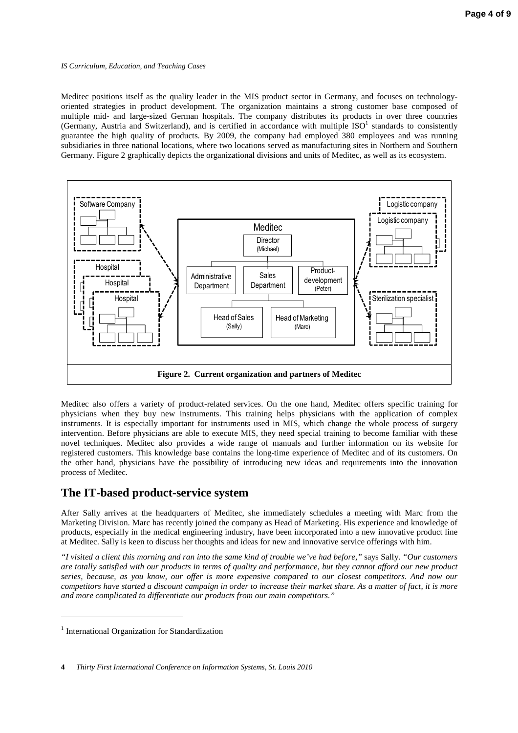#### *IS Curriculum, Education, and Teaching Cases*

Meditec positions itself as the quality leader in the MIS product sector in Germany, and focuses on technologyoriented strategies in product development. The organization maintains a strong customer base composed of multiple mid- and large-sized German hospitals. The company distributes its products in over three countries (Germany, Austria and Switzerland), and is certified in accordance with multiple  $ISO<sup>1</sup>$  standards to consistently guarantee the high quality of products. By 2009, the company had employed 380 employees and was running subsidiaries in three national locations, where two locations served as manufacturing sites in Northern and Southern Germany. Figure 2 graphically depicts the organizational divisions and units of Meditec, as well as its ecosystem.



Meditec also offers a variety of product-related services. On the one hand, Meditec offers specific training for physicians when they buy new instruments. This training helps physicians with the application of complex instruments. It is especially important for instruments used in MIS, which change the whole process of surgery intervention. Before physicians are able to execute MIS, they need special training to become familiar with these novel techniques. Meditec also provides a wide range of manuals and further information on its website for registered customers. This knowledge base contains the long-time experience of Meditec and of its customers. On the other hand, physicians have the possibility of introducing new ideas and requirements into the innovation process of Meditec.

## **The IT-based product-service system**

After Sally arrives at the headquarters of Meditec, she immediately schedules a meeting with Marc from the Marketing Division. Marc has recently joined the company as Head of Marketing. His experience and knowledge of products, especially in the medical engineering industry, have been incorporated into a new innovative product line at Meditec. Sally is keen to discuss her thoughts and ideas for new and innovative service offerings with him.

*"I visited a client this morning and ran into the same kind of trouble we've had before,"* says Sally. *"Our customers are totally satisfied with our products in terms of quality and performance, but they cannot afford our new product series, because, as you know, our offer is more expensive compared to our closest competitors. And now our competitors have started a discount campaign in order to increase their market share. As a matter of fact, it is more and more complicated to differentiate our products from our main competitors."* 

-

<sup>&</sup>lt;sup>1</sup> International Organization for Standardization

**<sup>4</sup>** *Thirty First International Conference on Information Systems, St. Louis 2010*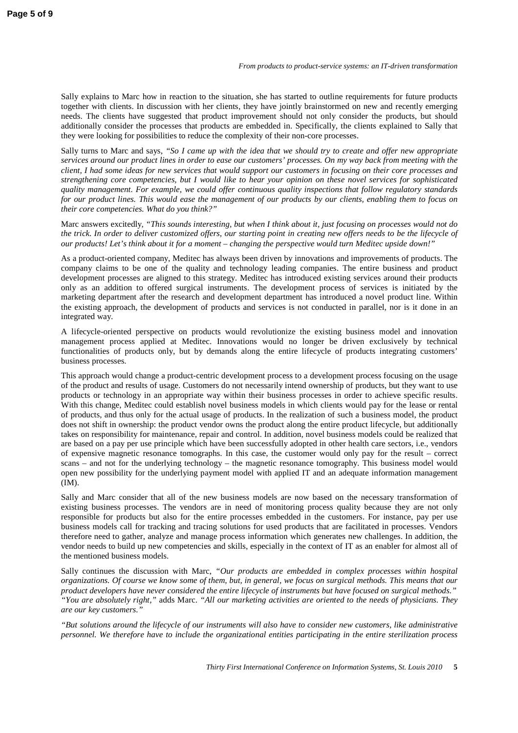Sally explains to Marc how in reaction to the situation, she has started to outline requirements for future products together with clients. In discussion with her clients, they have jointly brainstormed on new and recently emerging needs. The clients have suggested that product improvement should not only consider the products, but should additionally consider the processes that products are embedded in. Specifically, the clients explained to Sally that they were looking for possibilities to reduce the complexity of their non-core processes.

Sally turns to Marc and says, *"So I came up with the idea that we should try to create and offer new appropriate services around our product lines in order to ease our customers' processes. On my way back from meeting with the client, I had some ideas for new services that would support our customers in focusing on their core processes and strengthening core competencies, but I would like to hear your opinion on these novel services for sophisticated quality management. For example, we could offer continuous quality inspections that follow regulatory standards for our product lines. This would ease the management of our products by our clients, enabling them to focus on their core competencies. What do you think?"*

Marc answers excitedly, *"This sounds interesting, but when I think about it, just focusing on processes would not do the trick. In order to deliver customized offers, our starting point in creating new offers needs to be the lifecycle of our products! Let's think about it for a moment – changing the perspective would turn Meditec upside down!"*

As a product-oriented company, Meditec has always been driven by innovations and improvements of products. The company claims to be one of the quality and technology leading companies. The entire business and product development processes are aligned to this strategy. Meditec has introduced existing services around their products only as an addition to offered surgical instruments. The development process of services is initiated by the marketing department after the research and development department has introduced a novel product line. Within the existing approach, the development of products and services is not conducted in parallel, nor is it done in an integrated way.

A lifecycle-oriented perspective on products would revolutionize the existing business model and innovation management process applied at Meditec. Innovations would no longer be driven exclusively by technical functionalities of products only, but by demands along the entire lifecycle of products integrating customers' business processes.

This approach would change a product-centric development process to a development process focusing on the usage of the product and results of usage. Customers do not necessarily intend ownership of products, but they want to use products or technology in an appropriate way within their business processes in order to achieve specific results. With this change, Meditec could establish novel business models in which clients would pay for the lease or rental of products, and thus only for the actual usage of products. In the realization of such a business model, the product does not shift in ownership: the product vendor owns the product along the entire product lifecycle, but additionally takes on responsibility for maintenance, repair and control. In addition, novel business models could be realized that are based on a pay per use principle which have been successfully adopted in other health care sectors, i.e., vendors of expensive magnetic resonance tomographs. In this case, the customer would only pay for the result – correct scans – and not for the underlying technology – the magnetic resonance tomography. This business model would open new possibility for the underlying payment model with applied IT and an adequate information management (IM).

Sally and Marc consider that all of the new business models are now based on the necessary transformation of existing business processes. The vendors are in need of monitoring process quality because they are not only responsible for products but also for the entire processes embedded in the customers. For instance, pay per use business models call for tracking and tracing solutions for used products that are facilitated in processes. Vendors therefore need to gather, analyze and manage process information which generates new challenges. In addition, the vendor needs to build up new competencies and skills, especially in the context of IT as an enabler for almost all of the mentioned business models.

Sally continues the discussion with Marc, *"Our products are embedded in complex processes within hospital organizations. Of course we know some of them, but, in general, we focus on surgical methods. This means that our product developers have never considered the entire lifecycle of instruments but have focused on surgical methods." "You are absolutely right,"* adds Marc. *"All our marketing activities are oriented to the needs of physicians. They are our key customers."* 

*"But solutions around the lifecycle of our instruments will also have to consider new customers, like administrative personnel. We therefore have to include the organizational entities participating in the entire sterilization process*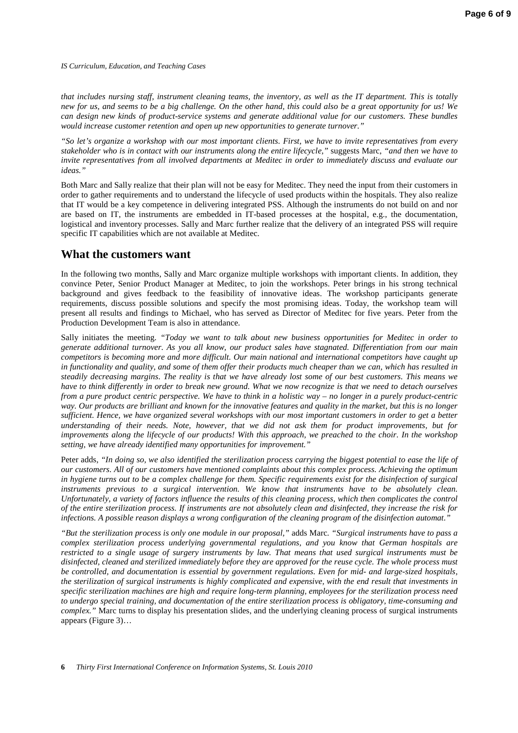*IS Curriculum, Education, and Teaching Cases* 

*that includes nursing staff, instrument cleaning teams, the inventory, as well as the IT department. This is totally new for us, and seems to be a big challenge. On the other hand, this could also be a great opportunity for us! We can design new kinds of product-service systems and generate additional value for our customers. These bundles would increase customer retention and open up new opportunities to generate turnover."* 

*"So let's organize a workshop with our most important clients. First, we have to invite representatives from every stakeholder who is in contact with our instruments along the entire lifecycle,"* suggests Marc, *"and then we have to invite representatives from all involved departments at Meditec in order to immediately discuss and evaluate our ideas."* 

Both Marc and Sally realize that their plan will not be easy for Meditec. They need the input from their customers in order to gather requirements and to understand the lifecycle of used products within the hospitals. They also realize that IT would be a key competence in delivering integrated PSS. Although the instruments do not build on and nor are based on IT, the instruments are embedded in IT-based processes at the hospital, e.g., the documentation, logistical and inventory processes. Sally and Marc further realize that the delivery of an integrated PSS will require specific IT capabilities which are not available at Meditec.

#### **What the customers want**

In the following two months, Sally and Marc organize multiple workshops with important clients. In addition, they convince Peter, Senior Product Manager at Meditec, to join the workshops. Peter brings in his strong technical background and gives feedback to the feasibility of innovative ideas. The workshop participants generate requirements, discuss possible solutions and specify the most promising ideas. Today, the workshop team will present all results and findings to Michael, who has served as Director of Meditec for five years. Peter from the Production Development Team is also in attendance.

Sally initiates the meeting. *"Today we want to talk about new business opportunities for Meditec in order to generate additional turnover. As you all know, our product sales have stagnated. Differentiation from our main competitors is becoming more and more difficult. Our main national and international competitors have caught up*  in functionality and quality, and some of them offer their products much cheaper than we can, which has resulted in *steadily decreasing margins. The reality is that we have already lost some of our best customers. This means we have to think differently in order to break new ground. What we now recognize is that we need to detach ourselves from a pure product centric perspective. We have to think in a holistic way – no longer in a purely product-centric way. Our products are brilliant and known for the innovative features and quality in the market, but this is no longer sufficient. Hence, we have organized several workshops with our most important customers in order to get a better understanding of their needs. Note, however, that we did not ask them for product improvements, but for improvements along the lifecycle of our products! With this approach, we preached to the choir. In the workshop setting, we have already identified many opportunities for improvement."*

Peter adds, *"In doing so, we also identified the sterilization process carrying the biggest potential to ease the life of our customers. All of our customers have mentioned complaints about this complex process. Achieving the optimum in hygiene turns out to be a complex challenge for them. Specific requirements exist for the disinfection of surgical instruments previous to a surgical intervention. We know that instruments have to be absolutely clean. Unfortunately, a variety of factors influence the results of this cleaning process, which then complicates the control of the entire sterilization process. If instruments are not absolutely clean and disinfected, they increase the risk for infections. A possible reason displays a wrong configuration of the cleaning program of the disinfection automat."*

*"But the sterilization process is only one module in our proposal,"* adds Marc*. "Surgical instruments have to pass a complex sterilization process underlying governmental regulations, and you know that German hospitals are restricted to a single usage of surgery instruments by law. That means that used surgical instruments must be disinfected, cleaned and sterilized immediately before they are approved for the reuse cycle. The whole process must be controlled, and documentation is essential by government regulations. Even for mid- and large-sized hospitals, the sterilization of surgical instruments is highly complicated and expensive, with the end result that investments in specific sterilization machines are high and require long-term planning, employees for the sterilization process need to undergo special training, and documentation of the entire sterilization process is obligatory, time-consuming and complex.*" Marc turns to display his presentation slides, and the underlying cleaning process of surgical instruments appears (Figure 3)…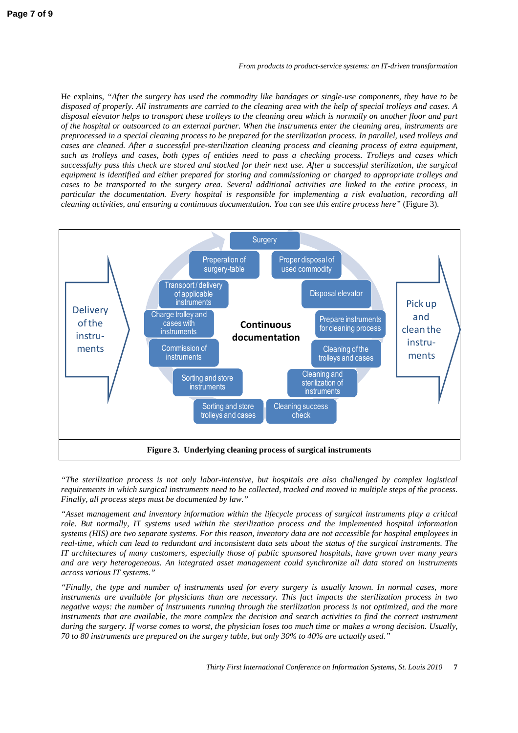*From products to product-service systems: an IT-driven transformation* 

He explains, *"After the surgery has used the commodity like bandages or single-use components, they have to be disposed of properly. All instruments are carried to the cleaning area with the help of special trolleys and cases. A disposal elevator helps to transport these trolleys to the cleaning area which is normally on another floor and part of the hospital or outsourced to an external partner. When the instruments enter the cleaning area, instruments are preprocessed in a special cleaning process to be prepared for the sterilization process. In parallel, used trolleys and cases are cleaned. After a successful pre-sterilization cleaning process and cleaning process of extra equipment, such as trolleys and cases, both types of entities need to pass a checking process. Trolleys and cases which successfully pass this check are stored and stocked for their next use. After a successful sterilization, the surgical equipment is identified and either prepared for storing and commissioning or charged to appropriate trolleys and cases to be transported to the surgery area. Several additional activities are linked to the entire process, in particular the documentation. Every hospital is responsible for implementing a risk evaluation, recording all cleaning activities, and ensuring a continuous documentation. You can see this entire process here"* (Figure 3).



*"The sterilization process is not only labor-intensive, but hospitals are also challenged by complex logistical requirements in which surgical instruments need to be collected, tracked and moved in multiple steps of the process. Finally, all process steps must be documented by law."* 

*"Asset management and inventory information within the lifecycle process of surgical instruments play a critical role. But normally, IT systems used within the sterilization process and the implemented hospital information systems (HIS) are two separate systems. For this reason, inventory data are not accessible for hospital employees in real-time, which can lead to redundant and inconsistent data sets about the status of the surgical instruments. The IT architectures of many customers, especially those of public sponsored hospitals, have grown over many years and are very heterogeneous. An integrated asset management could synchronize all data stored on instruments across various IT systems."* 

*"Finally, the type and number of instruments used for every surgery is usually known. In normal cases, more instruments are available for physicians than are necessary. This fact impacts the sterilization process in two negative ways: the number of instruments running through the sterilization process is not optimized, and the more*  instruments that are available, the more complex the decision and search activities to find the correct instrument *during the surgery. If worse comes to worst, the physician loses too much time or makes a wrong decision. Usually, 70 to 80 instruments are prepared on the surgery table, but only 30% to 40% are actually used."*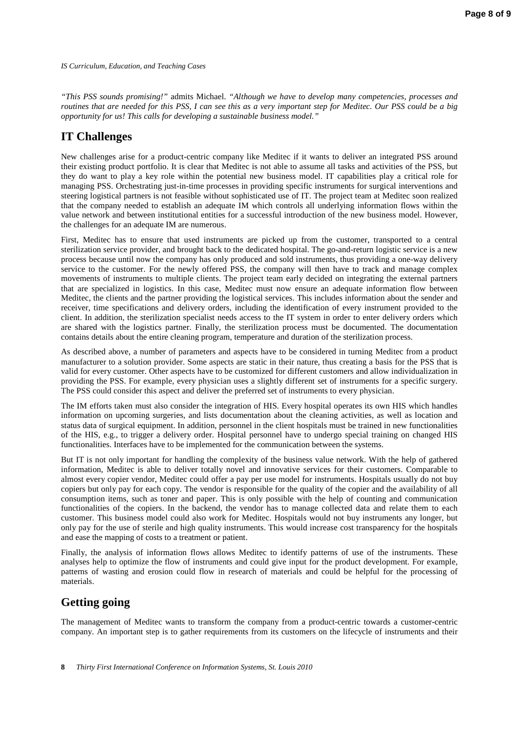*"This PSS sounds promising!"* admits Michael. *"Although we have to develop many competencies, processes and routines that are needed for this PSS, I can see this as a very important step for Meditec. Our PSS could be a big opportunity for us! This calls for developing a sustainable business model."*

# **IT Challenges**

New challenges arise for a product-centric company like Meditec if it wants to deliver an integrated PSS around their existing product portfolio. It is clear that Meditec is not able to assume all tasks and activities of the PSS, but they do want to play a key role within the potential new business model. IT capabilities play a critical role for managing PSS. Orchestrating just-in-time processes in providing specific instruments for surgical interventions and steering logistical partners is not feasible without sophisticated use of IT. The project team at Meditec soon realized that the company needed to establish an adequate IM which controls all underlying information flows within the value network and between institutional entities for a successful introduction of the new business model. However, the challenges for an adequate IM are numerous.

First, Meditec has to ensure that used instruments are picked up from the customer, transported to a central sterilization service provider, and brought back to the dedicated hospital. The go-and-return logistic service is a new process because until now the company has only produced and sold instruments, thus providing a one-way delivery service to the customer. For the newly offered PSS, the company will then have to track and manage complex movements of instruments to multiple clients. The project team early decided on integrating the external partners that are specialized in logistics. In this case, Meditec must now ensure an adequate information flow between Meditec, the clients and the partner providing the logistical services. This includes information about the sender and receiver, time specifications and delivery orders, including the identification of every instrument provided to the client. In addition, the sterilization specialist needs access to the IT system in order to enter delivery orders which are shared with the logistics partner. Finally, the sterilization process must be documented. The documentation contains details about the entire cleaning program, temperature and duration of the sterilization process.

As described above, a number of parameters and aspects have to be considered in turning Meditec from a product manufacturer to a solution provider. Some aspects are static in their nature, thus creating a basis for the PSS that is valid for every customer. Other aspects have to be customized for different customers and allow individualization in providing the PSS. For example, every physician uses a slightly different set of instruments for a specific surgery. The PSS could consider this aspect and deliver the preferred set of instruments to every physician.

The IM efforts taken must also consider the integration of HIS. Every hospital operates its own HIS which handles information on upcoming surgeries, and lists documentation about the cleaning activities, as well as location and status data of surgical equipment. In addition, personnel in the client hospitals must be trained in new functionalities of the HIS, e.g., to trigger a delivery order. Hospital personnel have to undergo special training on changed HIS functionalities. Interfaces have to be implemented for the communication between the systems.

But IT is not only important for handling the complexity of the business value network. With the help of gathered information, Meditec is able to deliver totally novel and innovative services for their customers. Comparable to almost every copier vendor, Meditec could offer a pay per use model for instruments. Hospitals usually do not buy copiers but only pay for each copy. The vendor is responsible for the quality of the copier and the availability of all consumption items, such as toner and paper. This is only possible with the help of counting and communication functionalities of the copiers. In the backend, the vendor has to manage collected data and relate them to each customer. This business model could also work for Meditec. Hospitals would not buy instruments any longer, but only pay for the use of sterile and high quality instruments. This would increase cost transparency for the hospitals and ease the mapping of costs to a treatment or patient.

Finally, the analysis of information flows allows Meditec to identify patterns of use of the instruments. These analyses help to optimize the flow of instruments and could give input for the product development. For example, patterns of wasting and erosion could flow in research of materials and could be helpful for the processing of materials.

## **Getting going**

The management of Meditec wants to transform the company from a product-centric towards a customer-centric company. An important step is to gather requirements from its customers on the lifecycle of instruments and their